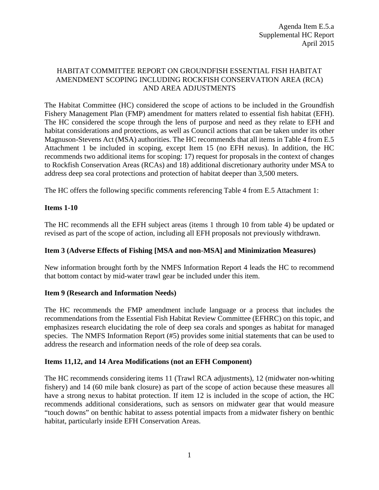#### HABITAT COMMITTEE REPORT ON GROUNDFISH ESSENTIAL FISH HABITAT AMENDMENT SCOPING INCLUDING ROCKFISH CONSERVATION AREA (RCA) AND AREA ADJUSTMENTS

The Habitat Committee (HC) considered the scope of actions to be included in the Groundfish Fishery Management Plan (FMP) amendment for matters related to essential fish habitat (EFH). The HC considered the scope through the lens of purpose and need as they relate to EFH and habitat considerations and protections, as well as Council actions that can be taken under its other Magnuson-Stevens Act (MSA) authorities. The HC recommends that all items in Table 4 from E.5 Attachment 1 be included in scoping, except Item 15 (no EFH nexus). In addition, the HC recommends two additional items for scoping: 17) request for proposals in the context of changes to Rockfish Conservation Areas (RCAs) and 18) additional discretionary authority under MSA to address deep sea coral protections and protection of habitat deeper than 3,500 meters.

The HC offers the following specific comments referencing Table 4 from E.5 Attachment 1:

# **Items 1-10**

The HC recommends all the EFH subject areas (items 1 through 10 from table 4) be updated or revised as part of the scope of action, including all EFH proposals not previously withdrawn.

# **Item 3 (Adverse Effects of Fishing [MSA and non-MSA] and Minimization Measures)**

New information brought forth by the NMFS Information Report 4 leads the HC to recommend that bottom contact by mid-water trawl gear be included under this item.

#### **Item 9 (Research and Information Needs)**

The HC recommends the FMP amendment include language or a process that includes the recommendations from the Essential Fish Habitat Review Committee (EFHRC) on this topic, and emphasizes research elucidating the role of deep sea corals and sponges as habitat for managed species. The NMFS Information Report (#5) provides some initial statements that can be used to address the research and information needs of the role of deep sea corals.

# **Items 11,12, and 14 Area Modifications (not an EFH Component)**

The HC recommends considering items 11 (Trawl RCA adjustments), 12 (midwater non-whiting fishery) and 14 (60 mile bank closure) as part of the scope of action because these measures all have a strong nexus to habitat protection. If item 12 is included in the scope of action, the HC recommends additional considerations, such as sensors on midwater gear that would measure "touch downs" on benthic habitat to assess potential impacts from a midwater fishery on benthic habitat, particularly inside EFH Conservation Areas.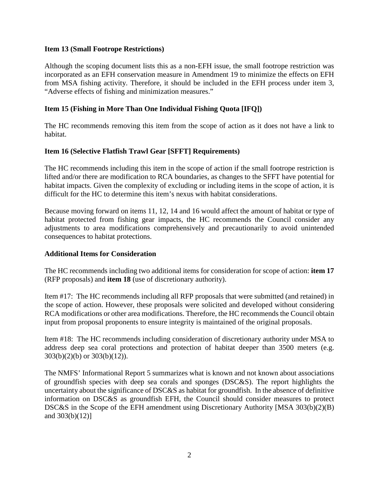#### **Item 13 (Small Footrope Restrictions)**

Although the scoping document lists this as a non-EFH issue, the small footrope restriction was incorporated as an EFH conservation measure in Amendment 19 to minimize the effects on EFH from MSA fishing activity. Therefore, it should be included in the EFH process under item 3, "Adverse effects of fishing and minimization measures."

# **Item 15 (Fishing in More Than One Individual Fishing Quota [IFQ])**

The HC recommends removing this item from the scope of action as it does not have a link to habitat.

# **Item 16 (Selective Flatfish Trawl Gear [SFFT] Requirements)**

The HC recommends including this item in the scope of action if the small footrope restriction is lifted and/or there are modification to RCA boundaries, as changes to the SFFT have potential for habitat impacts. Given the complexity of excluding or including items in the scope of action, it is difficult for the HC to determine this item's nexus with habitat considerations.

Because moving forward on items 11, 12, 14 and 16 would affect the amount of habitat or type of habitat protected from fishing gear impacts, the HC recommends the Council consider any adjustments to area modifications comprehensively and precautionarily to avoid unintended consequences to habitat protections.

#### **Additional Items for Consideration**

The HC recommends including two additional items for consideration for scope of action: **item 17**  (RFP proposals) and **item 18** (use of discretionary authority).

Item #17: The HC recommends including all RFP proposals that were submitted (and retained) in the scope of action. However, these proposals were solicited and developed without considering RCA modifications or other area modifications. Therefore, the HC recommends the Council obtain input from proposal proponents to ensure integrity is maintained of the original proposals.

Item #18: The HC recommends including consideration of discretionary authority under MSA to address deep sea coral protections and protection of habitat deeper than 3500 meters (e.g. 303(b)(2)(b) or 303(b)(12)).

The NMFS' Informational Report 5 summarizes what is known and not known about associations of groundfish species with deep sea corals and sponges (DSC&S). The report highlights the uncertainty about the significance of DSC&S as habitat for groundfish. In the absence of definitive information on DSC&S as groundfish EFH, the Council should consider measures to protect DSC&S in the Scope of the EFH amendment using Discretionary Authority [MSA 303(b)(2)(B) and 303(b)(12)]